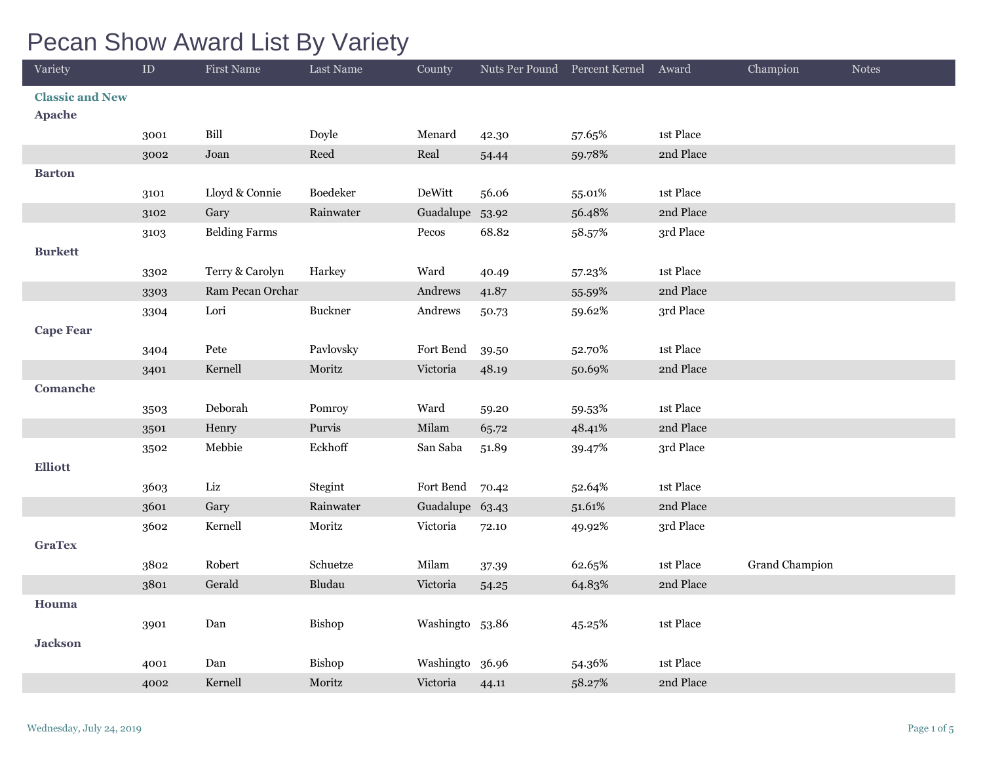## Pecan Show Award List By Variety

| Variety                | $\rm ID$ | <b>First Name</b>     | Last Name | County          |       | Nuts Per Pound Percent Kernel | Award     | Champion       | <b>Notes</b> |
|------------------------|----------|-----------------------|-----------|-----------------|-------|-------------------------------|-----------|----------------|--------------|
| <b>Classic and New</b> |          |                       |           |                 |       |                               |           |                |              |
| <b>Apache</b>          |          |                       |           |                 |       |                               |           |                |              |
|                        | 3001     | $\operatorname{Bill}$ | Doyle     | Menard          | 42.30 | 57.65%                        | 1st Place |                |              |
|                        | 3002     | Joan                  | Reed      | Real            | 54.44 | 59.78%                        | 2nd Place |                |              |
| <b>Barton</b>          |          |                       |           |                 |       |                               |           |                |              |
|                        | 3101     | Lloyd & Connie        | Boedeker  | DeWitt          | 56.06 | 55.01%                        | 1st Place |                |              |
|                        | 3102     | Gary                  | Rainwater | Guadalupe 53.92 |       | 56.48%                        | 2nd Place |                |              |
|                        | 3103     | <b>Belding Farms</b>  |           | $\mbox{Pecos}$  | 68.82 | 58.57%                        | 3rd Place |                |              |
| <b>Burkett</b>         |          |                       |           |                 |       |                               |           |                |              |
|                        | 3302     | Terry & Carolyn       | Harkey    | Ward            | 40.49 | 57.23%                        | 1st Place |                |              |
|                        | 3303     | Ram Pecan Orchar      |           | Andrews         | 41.87 | 55.59%                        | 2nd Place |                |              |
|                        | 3304     | Lori                  | Buckner   | Andrews         | 50.73 | 59.62%                        | 3rd Place |                |              |
| <b>Cape Fear</b>       |          |                       |           |                 |       |                               |           |                |              |
|                        | 3404     | Pete                  | Pavlovsky | Fort Bend       | 39.50 | 52.70%                        | 1st Place |                |              |
|                        | 3401     | Kernell               | Moritz    | Victoria        | 48.19 | 50.69%                        | 2nd Place |                |              |
| <b>Comanche</b>        |          |                       |           |                 |       |                               |           |                |              |
|                        | 3503     | Deborah               | Pomroy    | Ward            | 59.20 | 59.53%                        | 1st Place |                |              |
|                        | 3501     | Henry                 | Purvis    | Milam           | 65.72 | 48.41%                        | 2nd Place |                |              |
|                        | 3502     | Mebbie                | Eckhoff   | San Saba        | 51.89 | 39.47%                        | 3rd Place |                |              |
| <b>Elliott</b>         |          |                       |           |                 |       |                               |           |                |              |
|                        | 3603     | Liz                   | Stegint   | Fort Bend       | 70.42 | 52.64%                        | 1st Place |                |              |
|                        | 3601     | Gary                  | Rainwater | Guadalupe 63.43 |       | 51.61%                        | 2nd Place |                |              |
|                        | 3602     | Kernell               | Moritz    | Victoria        | 72.10 | 49.92%                        | 3rd Place |                |              |
| <b>GraTex</b>          |          |                       |           |                 |       |                               |           |                |              |
|                        | 3802     | Robert                | Schuetze  | Milam           | 37.39 | 62.65%                        | 1st Place | Grand Champion |              |
|                        | 3801     | Gerald                | Bludau    | Victoria        | 54.25 | 64.83%                        | 2nd Place |                |              |
| Houma                  |          |                       |           |                 |       |                               |           |                |              |
|                        | 3901     | Dan                   | Bishop    | Washingto 53.86 |       | 45.25%                        | 1st Place |                |              |
| <b>Jackson</b>         |          |                       |           |                 |       |                               |           |                |              |
|                        | 4001     | Dan                   | Bishop    | Washingto 36.96 |       | 54.36%                        | 1st Place |                |              |
|                        | 4002     | Kernell               | Moritz    | Victoria        | 44.11 | 58.27%                        | 2nd Place |                |              |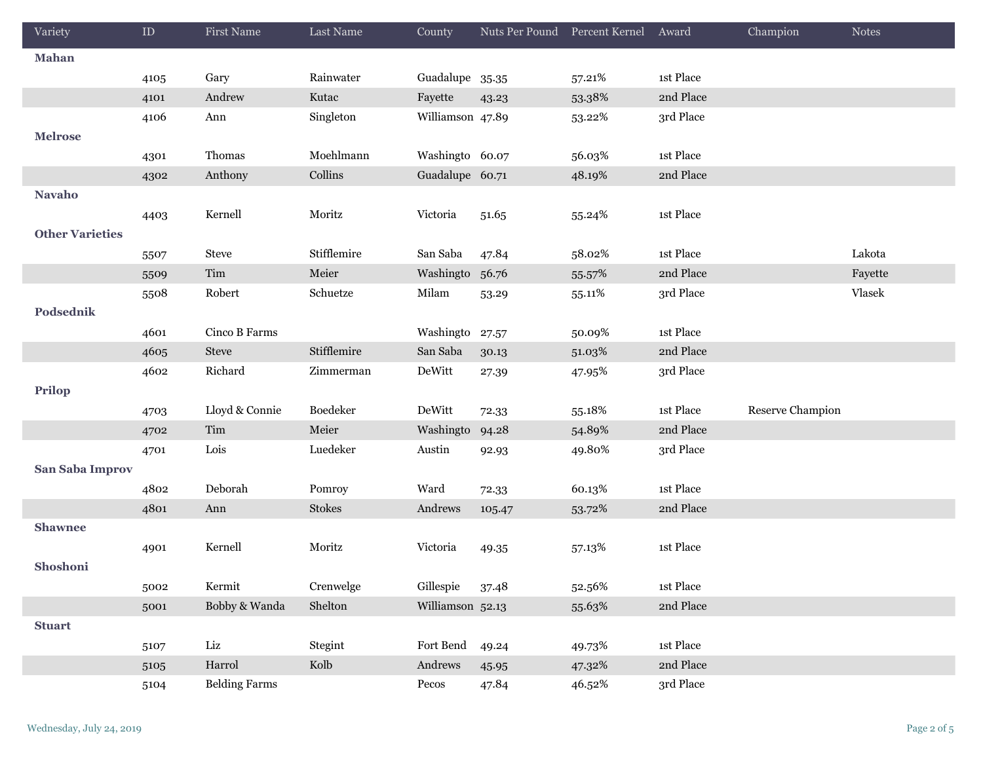| Variety                | ${\rm ID}$ | <b>First Name</b>    | Last Name   | County           | Nuts Per Pound Percent Kernel |        | Award                           | Champion         | <b>Notes</b> |
|------------------------|------------|----------------------|-------------|------------------|-------------------------------|--------|---------------------------------|------------------|--------------|
| Mahan                  |            |                      |             |                  |                               |        |                                 |                  |              |
|                        | 4105       | Gary                 | Rainwater   | Guadalupe 35.35  |                               | 57.21% | 1st Place                       |                  |              |
|                        | 4101       | Andrew               | Kutac       | Fayette          | 43.23                         | 53.38% | 2nd Place                       |                  |              |
|                        | 4106       | Ann                  | Singleton   | Williamson 47.89 |                               | 53.22% | 3rd Place                       |                  |              |
| <b>Melrose</b>         |            |                      |             |                  |                               |        |                                 |                  |              |
|                        | 4301       | Thomas               | Moehlmann   | Washingto 60.07  |                               | 56.03% | 1st Place                       |                  |              |
|                        | 4302       | Anthony              | Collins     | Guadalupe 60.71  |                               | 48.19% | 2nd Place                       |                  |              |
| <b>Navaho</b>          |            |                      |             |                  |                               |        |                                 |                  |              |
|                        | 4403       | Kernell              | Moritz      | Victoria         | 51.65                         | 55.24% | 1st Place                       |                  |              |
| <b>Other Varieties</b> |            |                      |             |                  |                               |        |                                 |                  |              |
|                        | 5507       | Steve                | Stifflemire | San Saba         | 47.84                         | 58.02% | 1st Place                       |                  | Lakota       |
|                        | 5509       | Tim                  | Meier       | Washingto        | 56.76                         | 55.57% | 2nd Place                       |                  | Fayette      |
|                        | 5508       | Robert               | Schuetze    | Milam            | 53.29                         | 55.11% | 3rd Place                       |                  | Vlasek       |
| Podsednik              |            |                      |             |                  |                               |        |                                 |                  |              |
|                        | 4601       | Cinco B Farms        |             | Washingto        | 27.57                         | 50.09% | 1st Place                       |                  |              |
|                        | 4605       | Steve                | Stifflemire | San Saba         | 30.13                         | 51.03% | 2nd Place                       |                  |              |
|                        | 4602       | Richard              | Zimmerman   | DeWitt           | 27.39                         | 47.95% | 3rd Place                       |                  |              |
| <b>Prilop</b>          |            |                      |             |                  |                               |        |                                 |                  |              |
|                        | 4703       | Lloyd & Connie       | Boedeker    | DeWitt           | 72.33                         | 55.18% | $\ensuremath{\text{1st}}$ Place | Reserve Champion |              |
|                        | 4702       | Tim                  | Meier       | Washingto        | 94.28                         | 54.89% | 2nd Place                       |                  |              |
|                        | 4701       | Lois                 | Luedeker    | Austin           | 92.93                         | 49.80% | 3rd Place                       |                  |              |
| San Saba Improv        |            |                      |             |                  |                               |        |                                 |                  |              |
|                        | 4802       | Deborah              | Pomroy      | Ward             | 72.33                         | 60.13% | 1st Place                       |                  |              |
|                        | 4801       | Ann                  | Stokes      | Andrews          | 105.47                        | 53.72% | 2nd Place                       |                  |              |
| <b>Shawnee</b>         |            |                      |             |                  |                               |        |                                 |                  |              |
|                        | 4901       | Kernell              | Moritz      | Victoria         | 49.35                         | 57.13% | 1st Place                       |                  |              |
| Shoshoni               |            |                      |             |                  |                               |        |                                 |                  |              |
|                        | 5002       | Kermit               | Crenwelge   | Gillespie        | 37.48                         | 52.56% | 1st Place                       |                  |              |
|                        | 5001       | Bobby & Wanda        | Shelton     | Williamson 52.13 |                               | 55.63% | 2nd Place                       |                  |              |
| <b>Stuart</b>          |            |                      |             |                  |                               |        |                                 |                  |              |
|                        | 5107       | Liz                  | Stegint     | Fort Bend        | 49.24                         | 49.73% | 1st Place                       |                  |              |
|                        | 5105       | Harrol               | Kolb        | Andrews          | 45.95                         | 47.32% | 2nd Place                       |                  |              |
|                        | 5104       | <b>Belding Farms</b> |             | Pecos            | 47.84                         | 46.52% | 3rd Place                       |                  |              |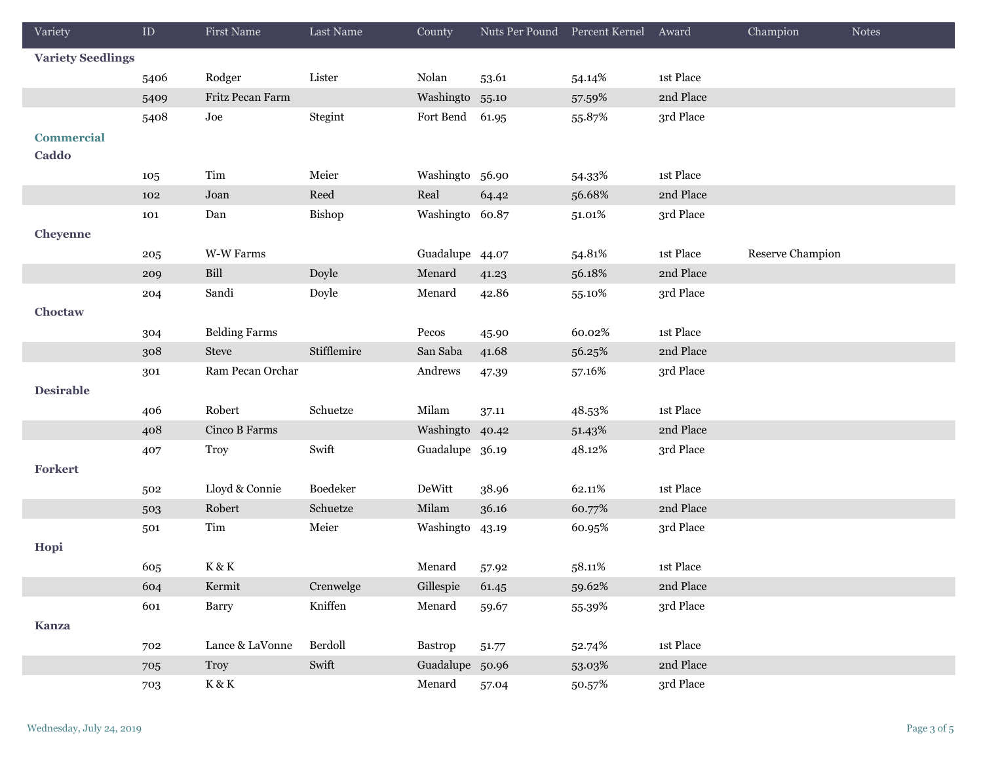| Variety                  | ${\rm ID}$ | First Name               | Last Name   | County          | Nuts Per Pound Percent Kernel |        | Award     | Champion         | <b>Notes</b> |
|--------------------------|------------|--------------------------|-------------|-----------------|-------------------------------|--------|-----------|------------------|--------------|
| <b>Variety Seedlings</b> |            |                          |             |                 |                               |        |           |                  |              |
|                          | 5406       | Rodger                   | Lister      | Nolan           | 53.61                         | 54.14% | 1st Place |                  |              |
|                          | 5409       | Fritz Pecan Farm         |             | Washingto       | 55.10                         | 57.59% | 2nd Place |                  |              |
|                          | 5408       | Joe                      | Stegint     | Fort Bend       | 61.95                         | 55.87% | 3rd Place |                  |              |
| <b>Commercial</b>        |            |                          |             |                 |                               |        |           |                  |              |
| Caddo                    |            |                          |             |                 |                               |        |           |                  |              |
|                          | 105        | Tim                      | Meier       | Washingto 56.90 |                               | 54.33% | 1st Place |                  |              |
|                          | 102        | Joan                     | Reed        | Real            | 64.42                         | 56.68% | 2nd Place |                  |              |
|                          | 101        | Dan                      | Bishop      | Washingto 60.87 |                               | 51.01% | 3rd Place |                  |              |
| Cheyenne                 |            |                          |             |                 |                               |        |           |                  |              |
|                          | 205        | W-W Farms                |             | Guadalupe 44.07 |                               | 54.81% | 1st Place | Reserve Champion |              |
|                          | 209        | Bill                     | Doyle       | Menard          | 41.23                         | 56.18% | 2nd Place |                  |              |
|                          | 204        | Sandi                    | Doyle       | Menard          | 42.86                         | 55.10% | 3rd Place |                  |              |
| Choctaw                  |            |                          |             |                 |                               |        |           |                  |              |
|                          | 304        | <b>Belding Farms</b>     |             | Pecos           | 45.90                         | 60.02% | 1st Place |                  |              |
|                          | 308        | <b>Steve</b>             | Stifflemire | San Saba        | 41.68                         | 56.25% | 2nd Place |                  |              |
|                          | 301        | Ram Pecan Orchar         |             | Andrews         | 47.39                         | 57.16% | 3rd Place |                  |              |
| <b>Desirable</b>         |            |                          |             |                 |                               |        |           |                  |              |
|                          | 406        | Robert                   | Schuetze    | Milam           | 37.11                         | 48.53% | 1st Place |                  |              |
|                          | 408        | Cinco B Farms            |             | Washingto 40.42 |                               | 51.43% | 2nd Place |                  |              |
|                          | 407        | <b>Troy</b>              | Swift       | Guadalupe 36.19 |                               | 48.12% | 3rd Place |                  |              |
| Forkert                  |            |                          |             |                 |                               |        |           |                  |              |
|                          | 502        | Lloyd & Connie           | Boedeker    | DeWitt          | 38.96                         | 62.11% | 1st Place |                  |              |
|                          | 503        | Robert                   | Schuetze    | Milam           | 36.16                         | 60.77% | 2nd Place |                  |              |
|                          | 501        | Tim                      | Meier       | Washingto       | 43.19                         | 60.95% | 3rd Place |                  |              |
| Hopi                     |            |                          |             |                 |                               |        |           |                  |              |
|                          | 605        | $\hbox{K}\,\&\,\hbox{K}$ |             | Menard          | 57.92                         | 58.11% | 1st Place |                  |              |
|                          | 604        | Kermit                   | Crenwelge   | Gillespie       | 61.45                         | 59.62% | 2nd Place |                  |              |
|                          | 601        | Barry                    | Kniffen     | Menard          | 59.67                         | 55.39% | 3rd Place |                  |              |
| <b>Kanza</b>             |            |                          |             |                 |                               |        |           |                  |              |
|                          | 702        | Lance & LaVonne          | Berdoll     | Bastrop         | 51.77                         | 52.74% | 1st Place |                  |              |
|                          | 705        | Troy                     | Swift       | Guadalupe 50.96 |                               | 53.03% | 2nd Place |                  |              |
|                          | 703        | $\rm K\,\&\,\rm K$       |             | Menard          | 57.04                         | 50.57% | 3rd Place |                  |              |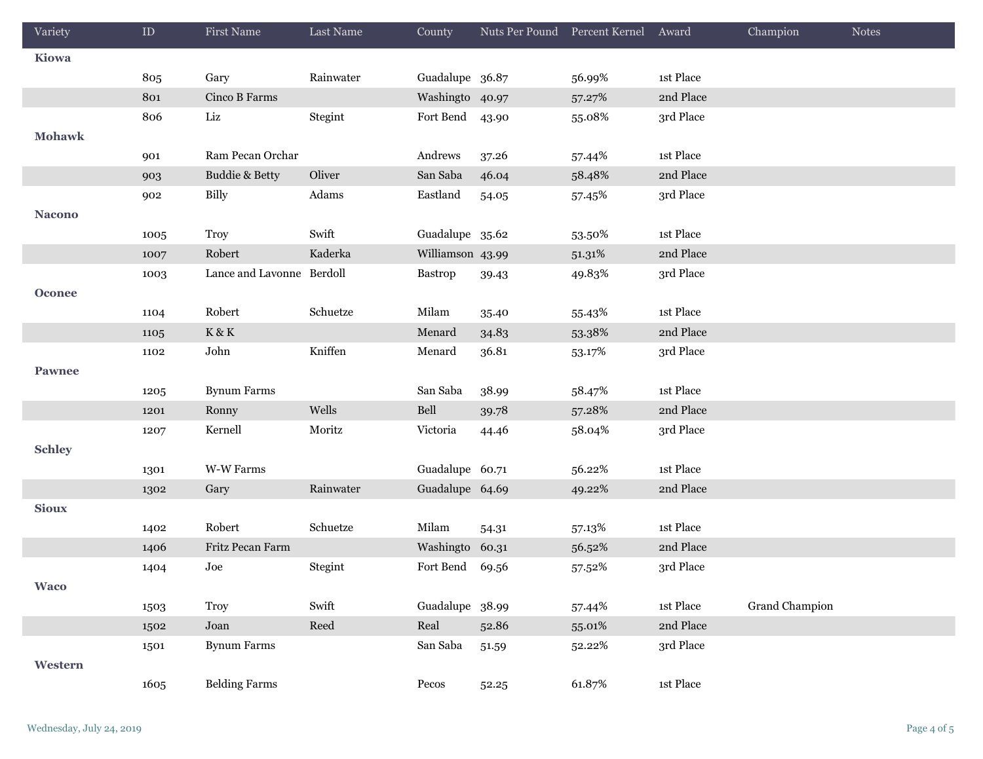| Variety       | ${\rm ID}$ | First Name                | Last Name | County           |       | Nuts Per Pound Percent Kernel Award |             | Champion              | <b>Notes</b> |
|---------------|------------|---------------------------|-----------|------------------|-------|-------------------------------------|-------------|-----------------------|--------------|
| Kiowa         |            |                           |           |                  |       |                                     |             |                       |              |
|               | 805        | Gary                      | Rainwater | Guadalupe 36.87  |       | 56.99%                              | 1st Place   |                       |              |
|               | 801        | Cinco B Farms             |           | Washingto 40.97  |       | 57.27%                              | 2nd Place   |                       |              |
|               | 806        | Liz                       | Stegint   | Fort Bend        | 43.90 | 55.08%                              | 3rd Place   |                       |              |
| <b>Mohawk</b> |            |                           |           |                  |       |                                     |             |                       |              |
|               | 901        | Ram Pecan Orchar          |           | Andrews          | 37.26 | 57.44%                              | 1st Place   |                       |              |
|               | 903        | <b>Buddie &amp; Betty</b> | Oliver    | San Saba         | 46.04 | 58.48%                              | 2nd Place   |                       |              |
|               | 902        | <b>Billy</b>              | Adams     | Eastland         | 54.05 | 57.45%                              | 3rd Place   |                       |              |
| <b>Nacono</b> |            |                           |           |                  |       |                                     |             |                       |              |
|               | 1005       | Troy                      | Swift     | Guadalupe 35.62  |       | 53.50%                              | 1st Place   |                       |              |
|               | 1007       | Robert                    | Kaderka   | Williamson 43.99 |       | 51.31%                              | 2nd Place   |                       |              |
|               | 1003       | Lance and Lavonne Berdoll |           | <b>Bastrop</b>   | 39.43 | 49.83%                              | 3rd Place   |                       |              |
| <b>Oconee</b> |            |                           |           |                  |       |                                     |             |                       |              |
|               | 1104       | Robert                    | Schuetze  | Milam            | 35.40 | 55.43%                              | 1st Place   |                       |              |
|               | 1105       | $\rm K\,\&\,\rm K$        |           | Menard           | 34.83 | 53.38%                              | 2nd Place   |                       |              |
|               | 1102       | John                      | Kniffen   | Menard           | 36.81 | 53.17%                              | 3rd Place   |                       |              |
| <b>Pawnee</b> |            |                           |           |                  |       |                                     |             |                       |              |
|               | 1205       | <b>Bynum Farms</b>        |           | San Saba         | 38.99 | 58.47%                              | 1st Place   |                       |              |
|               | 1201       | Ronny                     | Wells     | Bell             | 39.78 | 57.28%                              | 2nd Place   |                       |              |
|               | 1207       | Kernell                   | Moritz    | Victoria         | 44.46 | 58.04%                              | 3rd Place   |                       |              |
| <b>Schley</b> |            |                           |           |                  |       |                                     |             |                       |              |
|               | 1301       | W-W Farms                 |           | Guadalupe 60.71  |       | 56.22%                              | 1st Place   |                       |              |
|               | 1302       | Gary                      | Rainwater | Guadalupe 64.69  |       | 49.22%                              | 2nd Place   |                       |              |
| <b>Sioux</b>  |            |                           |           |                  |       |                                     |             |                       |              |
|               | 1402       | Robert                    | Schuetze  | Milam            | 54.31 | 57.13%                              | 1st Place   |                       |              |
|               | 1406       | Fritz Pecan Farm          |           | Washingto 60.31  |       | 56.52%                              | 2nd Place   |                       |              |
|               | 1404       | Joe                       | Stegint   | Fort Bend 69.56  |       | 57.52%                              | 3rd Place   |                       |              |
| <b>Waco</b>   |            |                           |           |                  |       |                                     |             |                       |              |
|               | 1503       | <b>Troy</b>               | Swift     | Guadalupe 38.99  |       | 57.44%                              | $1st$ Place | <b>Grand Champion</b> |              |
|               | 1502       | Joan                      | Reed      | Real             | 52.86 | 55.01%                              | 2nd Place   |                       |              |
|               | 1501       | <b>Bynum Farms</b>        |           | San Saba         | 51.59 | 52.22%                              | 3rd Place   |                       |              |
| Western       |            |                           |           |                  |       |                                     |             |                       |              |
|               | 1605       | <b>Belding Farms</b>      |           | Pecos            | 52.25 | 61.87%                              | 1st Place   |                       |              |